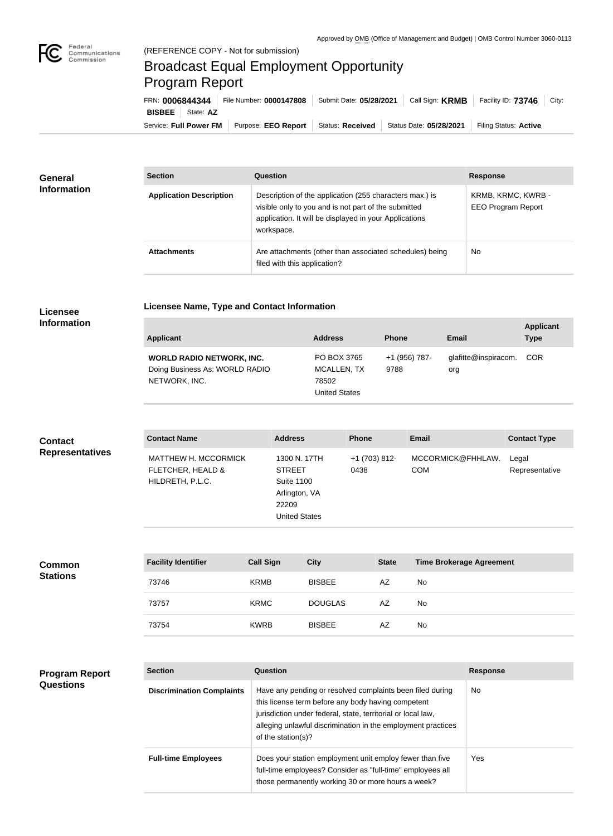

**COL** 

## Broadcast Equal Employment Opportunity Program Report

**Licensee Name, Type and Contact Information**

Service: Full Power FM Purpose: EEO Report | Status: Received | Status Date: 05/28/2021 | Filing Status: Active **BISBEE** State: **AZ** FRN: **0006844344** File Number: **0000147808** Submit Date: **05/28/2021** Call Sign: **KRMB** Facility ID: **73746** City:

| <b>General</b><br><b>Information</b> | <b>Section</b>                 | <b>Question</b>                                                                                                                                                                         | <b>Response</b>                                 |
|--------------------------------------|--------------------------------|-----------------------------------------------------------------------------------------------------------------------------------------------------------------------------------------|-------------------------------------------------|
|                                      | <b>Application Description</b> | Description of the application (255 characters max.) is<br>visible only to you and is not part of the submitted<br>application. It will be displayed in your Applications<br>workspace. | KRMB, KRMC, KWRB -<br><b>EEO Program Report</b> |
|                                      | <b>Attachments</b>             | Are attachments (other than associated schedules) being<br>filed with this application?                                                                                                 | No                                              |

## **Licensee Information**

| Applicant                                                                           | <b>Address</b>                                              | <b>Phone</b>          | Email                       | <b>Applicant</b><br><b>Type</b> |
|-------------------------------------------------------------------------------------|-------------------------------------------------------------|-----------------------|-----------------------------|---------------------------------|
| <b>WORLD RADIO NETWORK, INC.</b><br>Doing Business As: WORLD RADIO<br>NETWORK, INC. | PO BOX 3765<br>MCALLEN, TX<br>78502<br><b>United States</b> | +1 (956) 787-<br>9788 | glafitte@inspiracom.<br>org | <b>COR</b>                      |

| <b>Contact</b>         | <b>Contact Name</b>                                                  | <b>Address</b>                                                                                       | <b>Phone</b>          | Email                           | <b>Contact Type</b>     |
|------------------------|----------------------------------------------------------------------|------------------------------------------------------------------------------------------------------|-----------------------|---------------------------------|-------------------------|
| <b>Representatives</b> | <b>MATTHEW H. MCCORMICK</b><br>FLETCHER, HEALD &<br>HILDRETH, P.L.C. | 1300 N. 17TH<br><b>STREET</b><br><b>Suite 1100</b><br>Arlington, VA<br>22209<br><b>United States</b> | +1 (703) 812-<br>0438 | MCCORMICK@FHHLAW.<br><b>COM</b> | Legal<br>Representative |

| <b>Common</b><br><b>Stations</b> | <b>Facility Identifier</b> | <b>Call Sign</b> | <b>City</b>    | <b>State</b> | <b>Time Brokerage Agreement</b> |
|----------------------------------|----------------------------|------------------|----------------|--------------|---------------------------------|
|                                  | 73746                      | <b>KRMB</b>      | <b>BISBEE</b>  | AZ           | <b>No</b>                       |
|                                  | 73757                      | <b>KRMC</b>      | <b>DOUGLAS</b> | AZ           | <b>No</b>                       |
|                                  | 73754                      | <b>KWRB</b>      | <b>BISBEE</b>  | AZ           | <b>No</b>                       |

| <b>Program Report</b> |
|-----------------------|
| <b>Questions</b>      |

| <b>Section</b>                   | Question                                                                                                                                                                                                                                                              | <b>Response</b> |
|----------------------------------|-----------------------------------------------------------------------------------------------------------------------------------------------------------------------------------------------------------------------------------------------------------------------|-----------------|
| <b>Discrimination Complaints</b> | Have any pending or resolved complaints been filed during<br>this license term before any body having competent<br>jurisdiction under federal, state, territorial or local law,<br>alleging unlawful discrimination in the employment practices<br>of the station(s)? | No.             |
| <b>Full-time Employees</b>       | Does your station employment unit employ fewer than five<br>full-time employees? Consider as "full-time" employees all<br>those permanently working 30 or more hours a week?                                                                                          | Yes             |